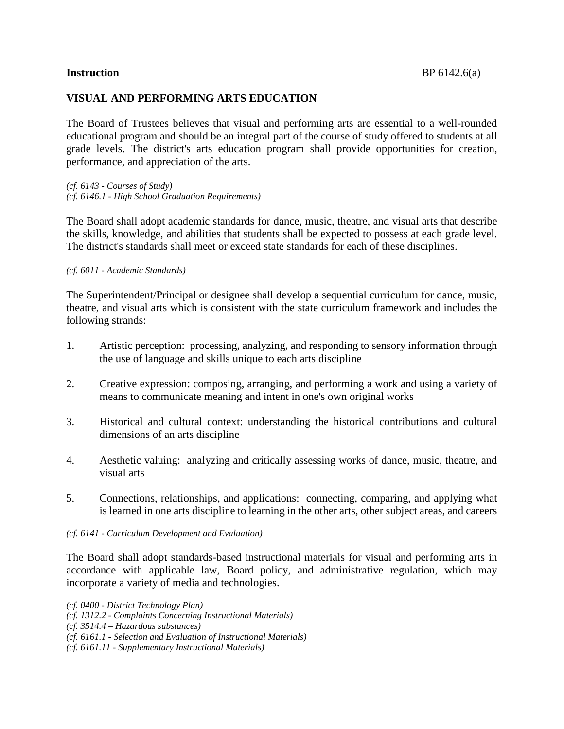# **VISUAL AND PERFORMING ARTS EDUCATION**

The Board of Trustees believes that visual and performing arts are essential to a well-rounded educational program and should be an integral part of the course of study offered to students at all grade levels. The district's arts education program shall provide opportunities for creation, performance, and appreciation of the arts.

*(cf. 6143 - Courses of Study) (cf. 6146.1 - High School Graduation Requirements)*

The Board shall adopt academic standards for dance, music, theatre, and visual arts that describe the skills, knowledge, and abilities that students shall be expected to possess at each grade level. The district's standards shall meet or exceed state standards for each of these disciplines.

#### *(cf. 6011 - Academic Standards)*

The Superintendent/Principal or designee shall develop a sequential curriculum for dance, music, theatre, and visual arts which is consistent with the state curriculum framework and includes the following strands:

- 1. Artistic perception: processing, analyzing, and responding to sensory information through the use of language and skills unique to each arts discipline
- 2. Creative expression: composing, arranging, and performing a work and using a variety of means to communicate meaning and intent in one's own original works
- 3. Historical and cultural context: understanding the historical contributions and cultural dimensions of an arts discipline
- 4. Aesthetic valuing: analyzing and critically assessing works of dance, music, theatre, and visual arts
- 5. Connections, relationships, and applications: connecting, comparing, and applying what is learned in one arts discipline to learning in the other arts, other subject areas, and careers

### *(cf. 6141 - Curriculum Development and Evaluation)*

The Board shall adopt standards-based instructional materials for visual and performing arts in accordance with applicable law, Board policy, and administrative regulation, which may incorporate a variety of media and technologies.

*(cf. 0400 - District Technology Plan) (cf. 1312.2 - Complaints Concerning Instructional Materials) (cf. 3514.4 – Hazardous substances) (cf. 6161.1 - Selection and Evaluation of Instructional Materials) (cf. 6161.11 - Supplementary Instructional Materials)*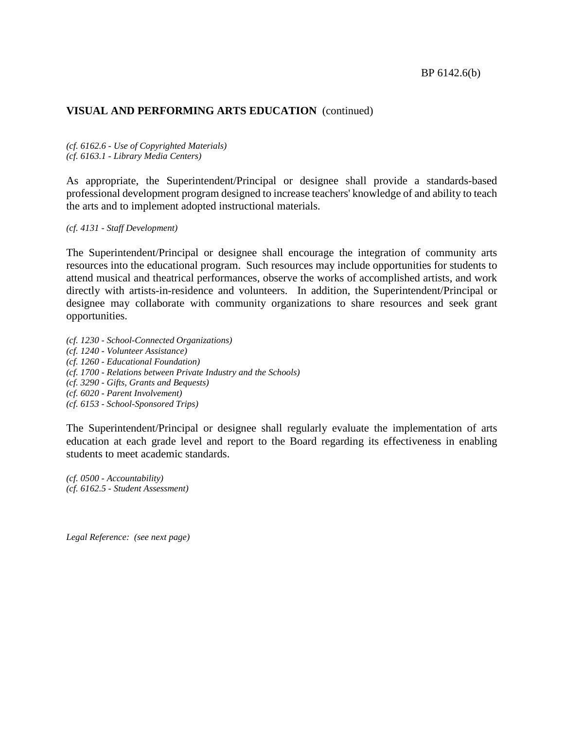# **VISUAL AND PERFORMING ARTS EDUCATION** (continued)

*(cf. 6162.6 - Use of Copyrighted Materials) (cf. 6163.1 - Library Media Centers)*

As appropriate, the Superintendent/Principal or designee shall provide a standards-based professional development program designed to increase teachers' knowledge of and ability to teach the arts and to implement adopted instructional materials.

*(cf. 4131 - Staff Development)*

The Superintendent/Principal or designee shall encourage the integration of community arts resources into the educational program. Such resources may include opportunities for students to attend musical and theatrical performances, observe the works of accomplished artists, and work directly with artists-in-residence and volunteers. In addition, the Superintendent/Principal or designee may collaborate with community organizations to share resources and seek grant opportunities.

*(cf. 1230 - School-Connected Organizations) (cf. 1240 - Volunteer Assistance) (cf. 1260 - Educational Foundation) (cf. 1700 - Relations between Private Industry and the Schools) (cf. 3290 - Gifts, Grants and Bequests) (cf. 6020 - Parent Involvement) (cf. 6153 - School-Sponsored Trips)*

The Superintendent/Principal or designee shall regularly evaluate the implementation of arts education at each grade level and report to the Board regarding its effectiveness in enabling students to meet academic standards.

*(cf. 0500 - Accountability) (cf. 6162.5 - Student Assessment)*

*Legal Reference: (see next page)*